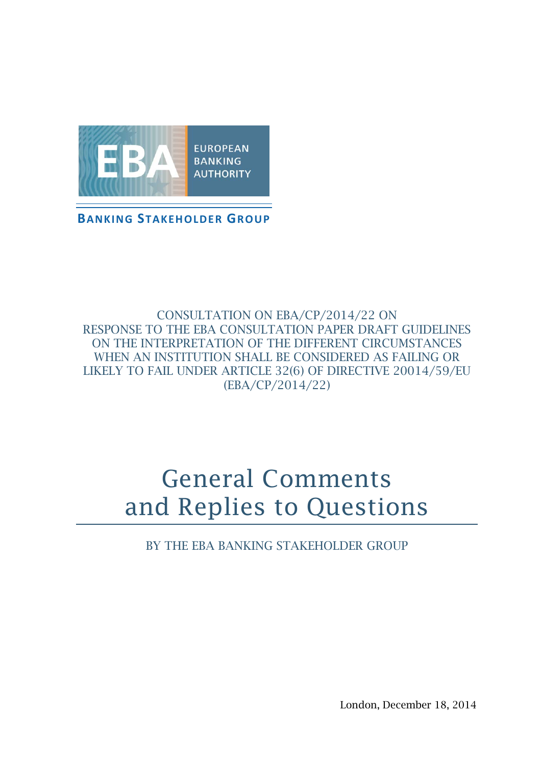

**BANKING STAKEHOLDER GROUP**

### CONSULTATION ON EBA/CP/2014/22 ON RESPONSE TO THE EBA CONSULTATION PAPER DRAFT GUIDELINES ON THE INTERPRETATION OF THE DIFFERENT CIRCUMSTANCES WHEN AN INSTITUTION SHALL BE CONSIDERED AS FAILING OR LIKELY TO FAIL UNDER ARTICLE 32(6) OF DIRECTIVE 20014/59/EU (EBA/CP/2014/22)

# General Comments and Replies to Questions

BY THE EBA BANKING STAKEHOLDER GROUP

London, December 18, 2014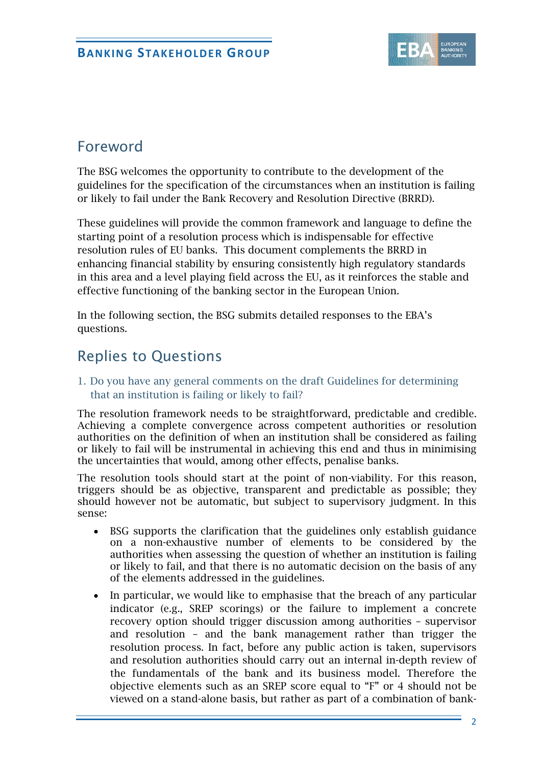

# Foreword

The BSG welcomes the opportunity to contribute to the development of the guidelines for the specification of the circumstances when an institution is failing or likely to fail under the Bank Recovery and Resolution Directive (BRRD).

These guidelines will provide the common framework and language to define the starting point of a resolution process which is indispensable for effective resolution rules of EU banks. This document complements the BRRD in enhancing financial stability by ensuring consistently high regulatory standards in this area and a level playing field across the EU, as it reinforces the stable and effective functioning of the banking sector in the European Union.

In the following section, the BSG submits detailed responses to the EBA's questions.

# Replies to Questions

#### 1. Do you have any general comments on the draft Guidelines for determining that an institution is failing or likely to fail?

The resolution framework needs to be straightforward, predictable and credible. Achieving a complete convergence across competent authorities or resolution authorities on the definition of when an institution shall be considered as failing or likely to fail will be instrumental in achieving this end and thus in minimising the uncertainties that would, among other effects, penalise banks.

The resolution tools should start at the point of non-viability. For this reason, triggers should be as objective, transparent and predictable as possible; they should however not be automatic, but subject to supervisory judgment. In this sense:

- BSG supports the clarification that the guidelines only establish guidance on a non-exhaustive number of elements to be considered by the authorities when assessing the question of whether an institution is failing or likely to fail, and that there is no automatic decision on the basis of any of the elements addressed in the guidelines.
- In particular, we would like to emphasise that the breach of any particular indicator (e.g., SREP scorings) or the failure to implement a concrete recovery option should trigger discussion among authorities – supervisor and resolution – and the bank management rather than trigger the resolution process. In fact, before any public action is taken, supervisors and resolution authorities should carry out an internal in-depth review of the fundamentals of the bank and its business model. Therefore the objective elements such as an SREP score equal to "F" or 4 should not be viewed on a stand-alone basis, but rather as part of a combination of bank-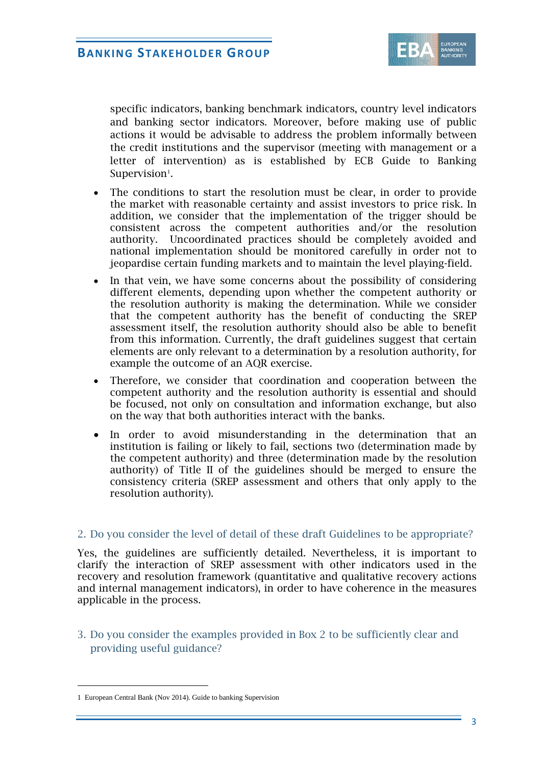

specific indicators, banking benchmark indicators, country level indicators and banking sector indicators. Moreover, before making use of public actions it would be advisable to address the problem informally between the credit institutions and the supervisor (meeting with management or a letter of intervention) as is established by ECB Guide to Banking Supervision $^1$  $^1$ .

- The conditions to start the resolution must be clear, in order to provide the market with reasonable certainty and assist investors to price risk. In addition, we consider that the implementation of the trigger should be consistent across the competent authorities and/or the resolution authority. Uncoordinated practices should be completely avoided and national implementation should be monitored carefully in order not to jeopardise certain funding markets and to maintain the level playing-field.
- In that vein, we have some concerns about the possibility of considering different elements, depending upon whether the competent authority or the resolution authority is making the determination. While we consider that the competent authority has the benefit of conducting the SREP assessment itself, the resolution authority should also be able to benefit from this information. Currently, the draft guidelines suggest that certain elements are only relevant to a determination by a resolution authority, for example the outcome of an AQR exercise.
- Therefore, we consider that coordination and cooperation between the competent authority and the resolution authority is essential and should be focused, not only on consultation and information exchange, but also on the way that both authorities interact with the banks.
- In order to avoid misunderstanding in the determination that an institution is failing or likely to fail, sections two (determination made by the competent authority) and three (determination made by the resolution authority) of Title II of the guidelines should be merged to ensure the consistency criteria (SREP assessment and others that only apply to the resolution authority).

#### 2. Do you consider the level of detail of these draft Guidelines to be appropriate?

Yes, the guidelines are sufficiently detailed. Nevertheless, it is important to clarify the interaction of SREP assessment with other indicators used in the recovery and resolution framework (quantitative and qualitative recovery actions and internal management indicators), in order to have coherence in the measures applicable in the process.

3. Do you consider the examples provided in Box 2 to be sufficiently clear and providing useful guidance?

l,

<span id="page-2-0"></span><sup>1</sup> European Central Bank (Nov 2014). Guide to banking Supervision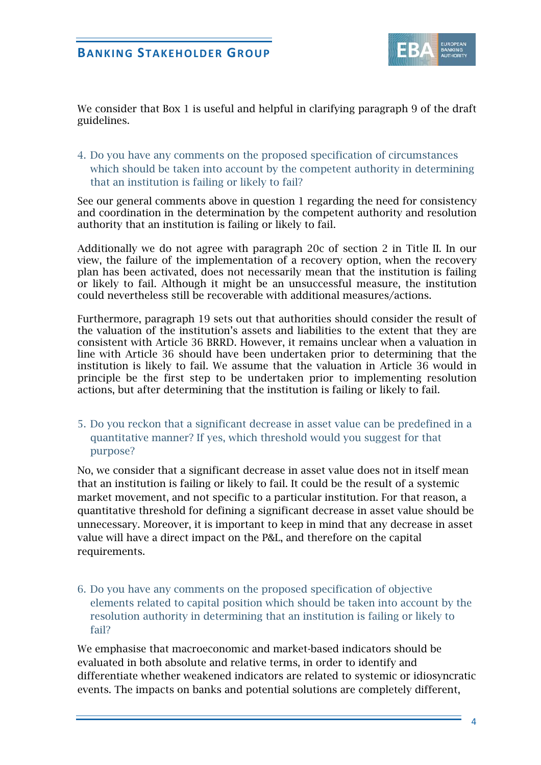

We consider that Box 1 is useful and helpful in clarifying paragraph 9 of the draft guidelines.

4. Do you have any comments on the proposed specification of circumstances which should be taken into account by the competent authority in determining that an institution is failing or likely to fail?

See our general comments above in question 1 regarding the need for consistency and coordination in the determination by the competent authority and resolution authority that an institution is failing or likely to fail.

Additionally we do not agree with paragraph 20c of section 2 in Title II. In our view, the failure of the implementation of a recovery option, when the recovery plan has been activated, does not necessarily mean that the institution is failing or likely to fail. Although it might be an unsuccessful measure, the institution could nevertheless still be recoverable with additional measures/actions.

Furthermore, paragraph 19 sets out that authorities should consider the result of the valuation of the institution's assets and liabilities to the extent that they are consistent with Article 36 BRRD. However, it remains unclear when a valuation in line with Article 36 should have been undertaken prior to determining that the institution is likely to fail. We assume that the valuation in Article 36 would in principle be the first step to be undertaken prior to implementing resolution actions, but after determining that the institution is failing or likely to fail.

5. Do you reckon that a significant decrease in asset value can be predefined in a quantitative manner? If yes, which threshold would you suggest for that purpose?

No, we consider that a significant decrease in asset value does not in itself mean that an institution is failing or likely to fail. It could be the result of a systemic market movement, and not specific to a particular institution. For that reason, a quantitative threshold for defining a significant decrease in asset value should be unnecessary. Moreover, it is important to keep in mind that any decrease in asset value will have a direct impact on the P&L, and therefore on the capital requirements.

6. Do you have any comments on the proposed specification of objective elements related to capital position which should be taken into account by the resolution authority in determining that an institution is failing or likely to fail?

We emphasise that macroeconomic and market-based indicators should be evaluated in both absolute and relative terms, in order to identify and differentiate whether weakened indicators are related to systemic or idiosyncratic events. The impacts on banks and potential solutions are completely different,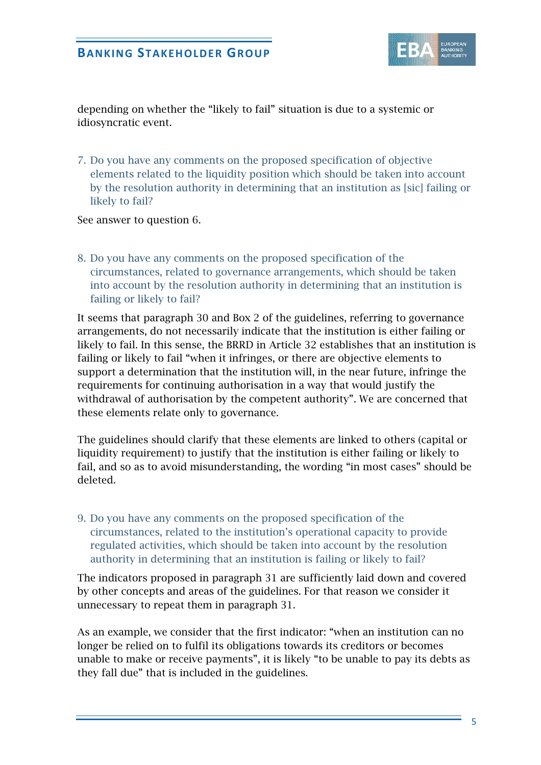

depending on whether the "likely to fail" situation is due to a systemic or idiosyncratic event.

7. Do you have any comments on the proposed specification of objective elements related to the liquidity position which should be taken into account by the resolution authority in determining that an institution as [sic] failing or likely to fail?

See answer to question 6.

8. Do you have any comments on the proposed specification of the circumstances, related to governance arrangements, which should be taken into account by the resolution authority in determining that an institution is failing or likely to fail?

It seems that paragraph 30 and Box 2 of the guidelines, referring to governance arrangements, do not necessarily indicate that the institution is either failing or likely to fail. In this sense, the BRRD in Article 32 establishes that an institution is failing or likely to fail "when it infringes, or there are objective elements to support a determination that the institution will, in the near future, infringe the requirements for continuing authorisation in a way that would justify the withdrawal of authorisation by the competent authority". We are concerned that these elements relate only to governance.

The guidelines should clarify that these elements are linked to others (capital or liquidity requirement) to justify that the institution is either failing or likely to fail, and so as to avoid misunderstanding, the wording "in most cases" should be deleted.

9. Do you have any comments on the proposed specification of the circumstances, related to the institution's operational capacity to provide regulated activities, which should be taken into account by the resolution authority in determining that an institution is failing or likely to fail?

The indicators proposed in paragraph 31 are sufficiently laid down and covered by other concepts and areas of the guidelines. For that reason we consider it unnecessary to repeat them in paragraph 31.

As an example, we consider that the first indicator: "when an institution can no longer be relied on to fulfil its obligations towards its creditors or becomes unable to make or receive payments", it is likely "to be unable to pay its debts as they fall due" that is included in the guidelines.